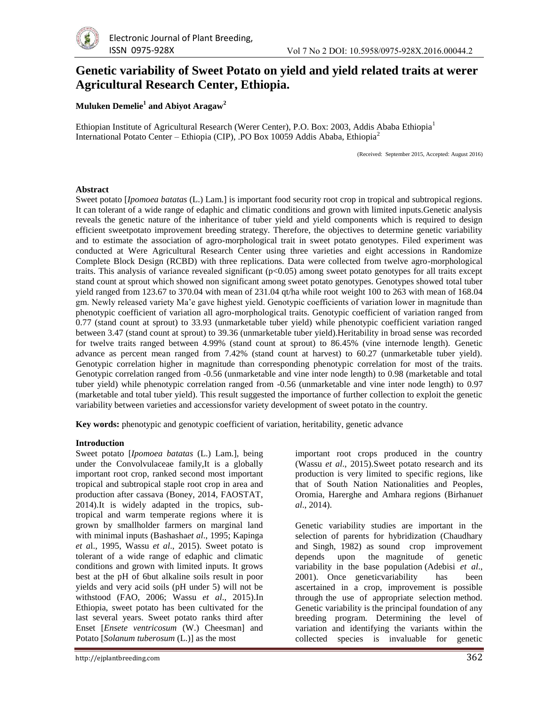

# **Genetic variability of Sweet Potato on yield and yield related traits at werer Agricultural Research Center, Ethiopia.**

**Muluken Demelie<sup>1</sup> and Abiyot Aragaw<sup>2</sup>**

Ethiopian Institute of Agricultural Research (Werer Center), P.O. Box: 2003, Addis Ababa Ethiopia<sup>1</sup> International Potato Center – Ethiopia (CIP), .PO Box 10059 Addis Ababa, Ethiopia<sup>2</sup>

(Received: September 2015, Accepted: August 2016)

#### **Abstract**

Sweet potato [*Ipomoea batatas* (L.) Lam.] is important food security root crop in tropical and subtropical regions. It can tolerant of a wide range of edaphic and climatic conditions and grown with limited inputs.Genetic analysis reveals the genetic nature of the inheritance of tuber yield and yield components which is required to design efficient sweetpotato improvement breeding strategy. Therefore, the objectives to determine genetic variability and to estimate the association of agro-morphological trait in sweet potato genotypes. Filed experiment was conducted at Were Agricultural Research Center using three varieties and eight accessions in Randomize Complete Block Design (RCBD) with three replications. Data were collected from twelve agro-morphological traits. This analysis of variance revealed significant  $(p<0.05)$  among sweet potato genotypes for all traits except stand count at sprout which showed non significant among sweet potato genotypes. Genotypes showed total tuber yield ranged from 123.67 to 370.04 with mean of 231.04 qt/ha while root weight 100 to 263 with mean of 168.04 gm. Newly released variety Ma'e gave highest yield. Genotypic coefficients of variation lower in magnitude than phenotypic coefficient of variation all agro-morphological traits. Genotypic coefficient of variation ranged from 0.77 (stand count at sprout) to 33.93 (unmarketable tuber yield) while phenotypic coefficient variation ranged between 3.47 (stand count at sprout) to 39.36 (unmarketable tuber yield).Heritability in broad sense was recorded for twelve traits ranged between 4.99% (stand count at sprout) to 86.45% (vine internode length). Genetic advance as percent mean ranged from 7.42% (stand count at harvest) to 60.27 (unmarketable tuber yield). Genotypic correlation higher in magnitude than corresponding phenotypic correlation for most of the traits. Genotypic correlation ranged from -0.56 (unmarketable and vine inter node length) to 0.98 (marketable and total tuber yield) while phenotypic correlation ranged from -0.56 (unmarketable and vine inter node length) to 0.97 (marketable and total tuber yield). This result suggested the importance of further collection to exploit the genetic variability between varieties and accessionsfor variety development of sweet potato in the country.

**Key words:** phenotypic and genotypic coefficient of variation, heritability, genetic advance

#### **Introduction**

Sweet potato [*Ipomoea batatas* (L.) Lam.], being under the Convolvulaceae family,It is a globally important root crop, ranked second most important tropical and subtropical staple root crop in area and production after cassava (Boney, 2014, FAOSTAT, 2014).It is widely adapted in the tropics, subtropical and warm temperate regions where it is grown by smallholder farmers on marginal land with minimal inputs (Bashasha*et al*., 1995; Kapinga *et a*l., 1995, Wassu *et al*., 2015). Sweet potato is tolerant of a wide range of edaphic and climatic conditions and grown with limited inputs. It grows best at the pH of 6but alkaline soils result in poor yields and very acid soils (pH under 5) will not be withstood (FAO, 2006; Wassu *et al*., 2015).In Ethiopia, sweet potato has been cultivated for the last several years. Sweet potato ranks third after Enset [*Ensete ventricosum* (W.) Cheesman] and Potato [*Solanum tuberosum* (L.)] as the most

important root crops produced in the country (Wassu *et al*., 2015).Sweet potato research and its production is very limited to specific regions, like that of South Nation Nationalities and Peoples, Oromia, Harerghe and Amhara regions (Birhanu*et al*., 2014).

Genetic variability studies are important in the selection of parents for hybridization (Chaudhary and Singh, 1982) as sound crop improvement depends upon the magnitude of genetic variability in the base population (Adebisi *et al*., 2001). Once geneticvariability has been ascertained in a crop, improvement is possible through the use of appropriate selection method. Genetic variability is the principal foundation of any breeding program. Determining the level of variation and identifying the variants within the collected species is invaluable for genetic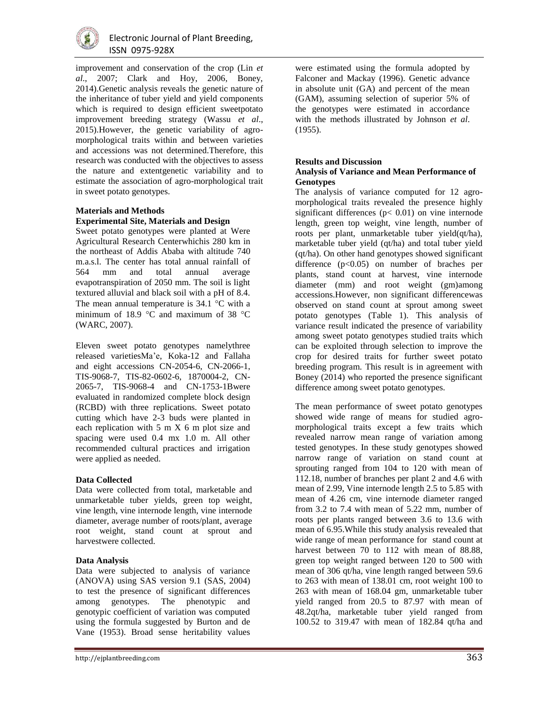

improvement and conservation of the crop (Lin *et al*., 2007; Clark and Hoy, 2006, Boney, 2014).Genetic analysis reveals the genetic nature of the inheritance of tuber yield and yield components which is required to design efficient sweetpotato improvement breeding strategy (Wassu *et al*., 2015).However, the genetic variability of agromorphological traits within and between varieties and accessions was not determined.Therefore, this research was conducted with the objectives to assess the nature and extentgenetic variability and to estimate the association of agro-morphological trait in sweet potato genotypes.

# **Materials and Methods Experimental Site, Materials and Design**

Sweet potato genotypes were planted at Were Agricultural Research Centerwhichis 280 km in the northeast of Addis Ababa with altitude 740 m.a.s.l. The center has total annual rainfall of 564 mm and total annual average mm and total annual average evapotranspiration of 2050 mm. The soil is light textured alluvial and black soil with a pH of 8.4. The mean annual temperature is  $34.1 \text{ °C}$  with a minimum of 18.9  $\degree$ C and maximum of 38  $\degree$ C (WARC, 2007).

Eleven sweet potato genotypes namelythree released varietiesMa'e, Koka-12 and Fallaha and eight accessions CN-2054-6, CN-2066-1, TIS-9068-7, TIS-82-0602-6, 1870004-2, CN-2065-7, TIS-9068-4 and CN-1753-1Bwere evaluated in randomized complete block design (RCBD) with three replications. Sweet potato cutting which have 2-3 buds were planted in each replication with 5 m X 6 m plot size and spacing were used 0.4 mx 1.0 m. All other recommended cultural practices and irrigation were applied as needed.

# **Data Collected**

Data were collected from total, marketable and unmarketable tuber yields, green top weight, vine length, vine internode length, vine internode diameter, average number of roots/plant, average root weight, stand count at sprout and harvestwere collected.

# **Data Analysis**

Data were subjected to analysis of variance (ANOVA) using SAS version 9.1 (SAS, 2004) to test the presence of significant differences among genotypes. The phenotypic and genotypic coefficient of variation was computed using the formula suggested by Burton and de Vane (1953). Broad sense heritability values

were estimated using the formula adopted by Falconer and Mackay (1996). Genetic advance in absolute unit (GA) and percent of the mean (GAM), assuming selection of superior 5% of the genotypes were estimated in accordance with the methods illustrated by Johnson *et al*. (1955).

# **Results and Discussion**

#### **Analysis of Variance and Mean Performance of Genotypes**

The analysis of variance computed for 12 agromorphological traits revealed the presence highly significant differences ( $p < 0.01$ ) on vine internode length, green top weight, vine length, number of roots per plant, unmarketable tuber yield(qt/ha), marketable tuber yield (qt/ha) and total tuber yield (qt/ha). On other hand genotypes showed significant difference  $(p<0.05)$  on number of braches per plants, stand count at harvest, vine internode diameter (mm) and root weight (gm)among accessions.However, non significant differencewas observed on stand count at sprout among sweet potato genotypes (Table 1). This analysis of variance result indicated the presence of variability among sweet potato genotypes studied traits which can be exploited through selection to improve the crop for desired traits for further sweet potato breeding program. This result is in agreement with Boney (2014) who reported the presence significant difference among sweet potato genotypes.

The mean performance of sweet potato genotypes showed wide range of means for studied agromorphological traits except a few traits which revealed narrow mean range of variation among tested genotypes. In these study genotypes showed narrow range of variation on stand count at sprouting ranged from 104 to 120 with mean of 112.18, number of branches per plant 2 and 4.6 with mean of 2.99, Vine internode length 2.5 to 5.85 with mean of 4.26 cm, vine internode diameter ranged from 3.2 to 7.4 with mean of 5.22 mm, number of roots per plants ranged between 3.6 to 13.6 with mean of 6.95.While this study analysis revealed that wide range of mean performance for stand count at harvest between 70 to 112 with mean of 88.88, green top weight ranged between 120 to 500 with mean of 306 qt/ha, vine length ranged between 59.6 to 263 with mean of 138.01 cm, root weight 100 to 263 with mean of 168.04 gm, unmarketable tuber yield ranged from 20.5 to 87.97 with mean of 48.2qt/ha, marketable tuber yield ranged from 100.52 to 319.47 with mean of 182.84 qt/ha and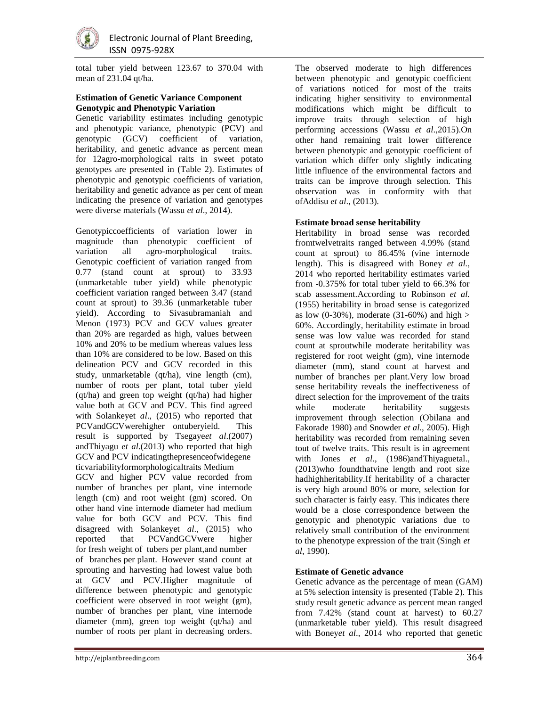

total tuber yield between 123.67 to 370.04 with mean of 231.04 qt/ha.

#### **Estimation of Genetic Variance Component Genotypic and Phenotypic Variation**

Genetic variability estimates including genotypic and phenotypic variance, phenotypic (PCV) and genotypic (GCV) coefficient of variation, heritability, and genetic advance as percent mean for 12agro-morphological raits in sweet potato genotypes are presented in (Table 2). Estimates of phenotypic and genotypic coefficients of variation, heritability and genetic advance as per cent of mean indicating the presence of variation and genotypes were diverse materials (Wassu *et al*., 2014).

Genotypiccoefficients of variation lower in magnitude than phenotypic coefficient of variation all agro-morphological traits. Genotypic coefficient of variation ranged from 0.77 (stand count at sprout) to 33.93 (unmarketable tuber yield) while phenotypic coefficient variation ranged between 3.47 (stand count at sprout) to 39.36 (unmarketable tuber yield). According to Sivasubramaniah and Menon (1973) PCV and GCV values greater than 20% are regarded as high, values between 10% and 20% to be medium whereas values less than 10% are considered to be low. Based on this delineation PCV and GCV recorded in this study, unmarketable (qt/ha), vine length (cm), number of roots per plant, total tuber yield (qt/ha) and green top weight (qt/ha) had higher value both at GCV and PCV. This find agreed with Solankeyet *al*., (2015) who reported that PCVandGCVwerehigher ontuberyield. This result is supported by Tsegaye*et al*.(2007) andThiyagu *et al*.(2013) who reported that high GCV and PCV indicatingthepresenceofwidegene ticvariabilityformorphologicaltraits Medium

GCV and higher PCV value recorded from number of branches per plant, vine internode length (cm) and root weight (gm) scored. On other hand vine internode diameter had medium value for both GCV and PCV. This find disagreed with Solankeyet *al*., (2015) who reported that PCVandGCVwere higher for fresh weight of tubers per plant,and number of branches per plant. However stand count at sprouting and harvesting had lowest value both at GCV and PCV.Higher magnitude of difference between phenotypic and genotypic coefficient were observed in root weight (gm), number of branches per plant, vine internode diameter (mm), green top weight (qt/ha) and number of roots per plant in decreasing orders. The observed moderate to high differences between phenotypic and genotypic coefficient of variations noticed for most of the traits indicating higher sensitivity to environmental modifications which might be difficult to improve traits through selection of high performing accessions (Wassu *et al*.,2015).On other hand remaining trait lower difference between phenotypic and genotypic coefficient of variation which differ only slightly indicating little influence of the environmental factors and traits can be improve through selection. This observation was in conformity with that ofAddisu *et al*., (2013).

## **Estimate broad sense heritability**

Heritability in broad sense was recorded fromtwelvetraits ranged between 4.99% (stand count at sprout) to 86.45% (vine internode length). This is disagreed with Boney *et al.,* 2014 who reported heritability estimates varied from -0.375% for total tuber yield to 66.3% for scab assessment.According to Robinson *et al.* (1955) heritability in broad sense is categorized as low (0-30%), moderate (31-60%) and high  $>$ 60%. Accordingly, heritability estimate in broad sense was low value was recorded for stand count at sproutwhile moderate heritability was registered for root weight (gm), vine internode diameter (mm), stand count at harvest and number of branches per plant.Very low broad sense heritability reveals the ineffectiveness of direct selection for the improvement of the traits while moderate heritability suggests improvement through selection (Obilana and Fakorade 1980) and Snowder *et al.,* 2005). High heritability was recorded from remaining seven tout of twelve traits. This result is in agreement with Jones *et al*., (1986)andThiyaguetal., (2013)who foundthatvine length and root size hadhighheritability.If heritability of a character is very high around 80% or more, selection for such character is fairly easy. This indicates there would be a close correspondence between the genotypic and phenotypic variations due to relatively small contribution of the environment to the phenotype expression of the trait (Singh *et al*, 1990).

# **Estimate of Genetic advance**

Genetic advance as the percentage of mean (GAM) at 5% selection intensity is presented (Table 2). This study result genetic advance as percent mean ranged from 7.42% (stand count at harvest) to 60.27 (unmarketable tuber yield). This result disagreed with Boney*et al*., 2014 who reported that genetic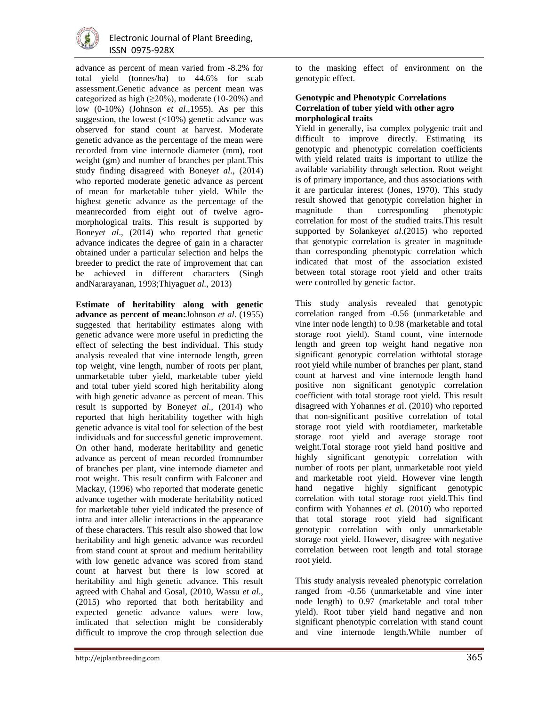

advance as percent of mean varied from -8.2% for total yield (tonnes/ha) to 44.6% for scab assessment.Genetic advance as percent mean was categorized as high  $(\geq 20\%)$ , moderate (10-20%) and low (0-10%) (Johnson *et al*.,1955). As per this suggestion, the lowest  $\left($  <10%) genetic advance was observed for stand count at harvest. Moderate genetic advance as the percentage of the mean were recorded from vine internode diameter (mm), root weight (gm) and number of branches per plant.This study finding disagreed with Boney*et al*., (2014) who reported moderate genetic advance as percent of mean for marketable tuber yield. While the highest genetic advance as the percentage of the meanrecorded from eight out of twelve agromorphological traits. This result is supported by Boney*et al*., (2014) who reported that genetic advance indicates the degree of gain in a character obtained under a particular selection and helps the breeder to predict the rate of improvement that can be achieved in different characters (Singh andNararayanan, 1993;Thiyagu*et al.,* 2013)

**Estimate of heritability along with genetic advance as percent of mean:**Johnson *et al*. (1955) suggested that heritability estimates along with genetic advance were more useful in predicting the effect of selecting the best individual. This study analysis revealed that vine internode length, green top weight, vine length, number of roots per plant, unmarketable tuber yield, marketable tuber yield and total tuber yield scored high heritability along with high genetic advance as percent of mean. This result is supported by Boney*et al*., (2014) who reported that high heritability together with high genetic advance is vital tool for selection of the best individuals and for successful genetic improvement. On other hand, moderate heritability and genetic advance as percent of mean recorded fromnumber of branches per plant, vine internode diameter and root weight. This result confirm with Falconer and Mackay, (1996) who reported that moderate genetic advance together with moderate heritability noticed for marketable tuber yield indicated the presence of intra and inter allelic interactions in the appearance of these characters. This result also showed that low heritability and high genetic advance was recorded from stand count at sprout and medium heritability with low genetic advance was scored from stand count at harvest but there is low scored at heritability and high genetic advance. This result agreed with Chahal and Gosal, (2010, Wassu *et al*., (2015) who reported that both heritability and expected genetic advance values were low, indicated that selection might be considerably difficult to improve the crop through selection due

to the masking effect of environment on the genotypic effect.

## **Genotypic and Phenotypic Correlations Correlation of tuber yield with other agro morphological traits**

Yield in generally, isa complex polygenic trait and difficult to improve directly. Estimating its genotypic and phenotypic correlation coefficients with yield related traits is important to utilize the available variability through selection. Root weight is of primary importance, and thus associations with it are particular interest (Jones, 1970). This study result showed that genotypic correlation higher in magnitude than corresponding phenotypic correlation for most of the studied traits.This result supported by Solankey*et al*.(2015) who reported that genotypic correlation is greater in magnitude than corresponding phenotypic correlation which indicated that most of the association existed between total storage root yield and other traits were controlled by genetic factor.

This study analysis revealed that genotypic correlation ranged from -0.56 (unmarketable and vine inter node length) to 0.98 (marketable and total storage root yield). Stand count, vine internode length and green top weight hand negative non significant genotypic correlation withtotal storage root yield while number of branches per plant, stand count at harvest and vine internode length hand positive non significant genotypic correlation coefficient with total storage root yield. This result disagreed with Yohannes *et a*l. (2010) who reported that non-significant positive correlation of total storage root yield with rootdiameter, marketable storage root yield and average storage root weight.Total storage root yield hand positive and highly significant genotypic correlation with number of roots per plant, unmarketable root yield and marketable root yield. However vine length hand negative highly significant genotypic correlation with total storage root yield.This find confirm with Yohannes *et a*l. (2010) who reported that total storage root yield had significant genotypic correlation with only unmarketable storage root yield. However, disagree with negative correlation between root length and total storage root yield.

This study analysis revealed phenotypic correlation ranged from -0.56 (unmarketable and vine inter node length) to 0.97 (marketable and total tuber yield). Root tuber yield hand negative and non significant phenotypic correlation with stand count and vine internode length.While number of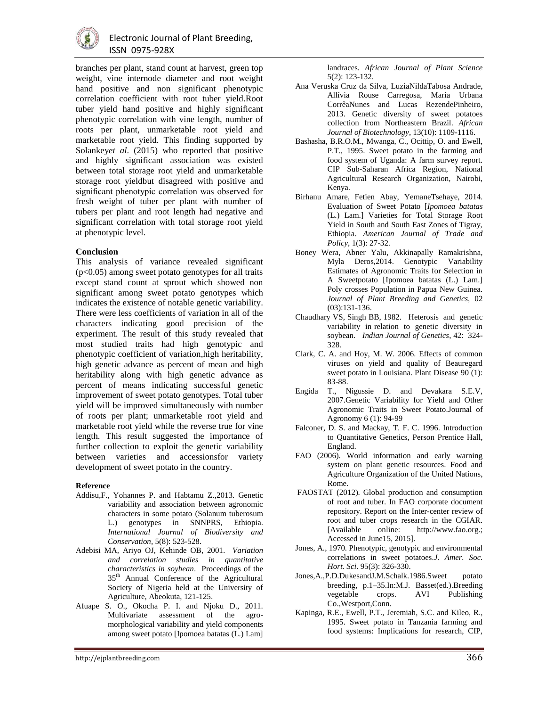

branches per plant, stand count at harvest, green top weight, vine internode diameter and root weight hand positive and non significant phenotypic correlation coefficient with root tuber yield.Root tuber yield hand positive and highly significant phenotypic correlation with vine length, number of roots per plant, unmarketable root yield and marketable root yield. This finding supported by Solankey*et al*. (2015) who reported that positive and highly significant association was existed between total storage root yield and unmarketable storage root yieldbut disagreed with positive and significant phenotypic correlation was observed for fresh weight of tuber per plant with number of tubers per plant and root length had negative and significant correlation with total storage root yield at phenotypic level.

#### **Conclusion**

This analysis of variance revealed significant  $(p<0.05)$  among sweet potato genotypes for all traits except stand count at sprout which showed non significant among sweet potato genotypes which indicates the existence of notable genetic variability. There were less coefficients of variation in all of the characters indicating good precision of the experiment. The result of this study revealed that most studied traits had high genotypic and phenotypic coefficient of variation,high heritability, high genetic advance as percent of mean and high heritability along with high genetic advance as percent of means indicating successful genetic improvement of sweet potato genotypes. Total tuber yield will be improved simultaneously with number of roots per plant; unmarketable root yield and marketable root yield while the reverse true for vine length. This result suggested the importance of further collection to exploit the genetic variability between varieties and accessionsfor variety development of sweet potato in the country.

#### **Reference**

- Addisu,F., Yohannes P. and Habtamu Z.,2013. Genetic variability and association between agronomic characters in some potato (Solanum tuberosum L.) genotypes in SNNPRS, Ethiopia. *International Journal of Biodiversity and Conservation,* 5(8): 523-528.
- Adebisi MA, Ariyo OJ, Kehinde OB, 2001. *Variation and correlation studies in quantitative characteristics in soybean*. Proceedings of the 35th Annual Conference of the Agricultural Society of Nigeria held at the University of Agriculture, Abeokuta, 121-125.
- Afuape S. O., Okocha P. I. and Njoku D., 2011. Multivariate assessment of the agromorphological variability and yield components among sweet potato [Ipomoea batatas (L.) Lam]

landraces. *African Journal of Plant Science* 5(2): 123-132.

- Ana Veruska Cruz da Silva, LuziaNildaTabosa Andrade, Allívia Rouse Carregosa, Maria Urbana CorrêaNunes and Lucas RezendePinheiro, 2013. Genetic diversity of sweet potatoes collection from Northeastern Brazil. *African Journal of Biotechnology*, 13(10): 1109-1116.
- Bashasha, B.R.O.M., Mwanga, C., Ocittip, O. and Ewell, P.T., 1995. Sweet potato in the farming and food system of Uganda: A farm survey report. CIP Sub-Saharan Africa Region, National Agricultural Research Organization, Nairobi, Kenya.
- Birhanu Amare, Fetien Abay, YemaneTsehaye, 2014. Evaluation of Sweet Potato [*Ipomoea batatas* (L.) Lam.] Varieties for Total Storage Root Yield in South and South East Zones of Tigray, Ethiopia. *American Journal of Trade and Policy*, 1(3): 27-32.
- Boney Wera, Abner Yalu, Akkinapally Ramakrishna, Myla Deros,2014. Genotypic Variability Estimates of Agronomic Traits for Selection in A Sweetpotato [Ipomoea batatas (L.) Lam.] Poly crosses Population in Papua New Guinea. *Journal of Plant Breeding and Genetics,* 02 (03):131-136.
- Chaudhary VS, Singh BB, 1982. Heterosis and genetic variability in relation to genetic diversity in soybean*. Indian Journal of Genetics*, 42: 324- 328.
- Clark, C. A. and Hoy, M. W. 2006. Effects of common viruses on yield and quality of Beauregard sweet potato in Louisiana. Plant Disease 90 (1): 83-88.
- Engida T., Nigussie D. and Devakara S.E.V, 2007.Genetic Variability for Yield and Other Agronomic Traits in Sweet Potato.Journal of Agronomy 6 (1): 94-99
- Falconer, D. S. and Mackay, T. F. C. 1996. Introduction to Quantitative Genetics, Person Prentice Hall, England.
- FAO (2006). World information and early warning system on plant genetic resources. Food and Agriculture Organization of the United Nations, Rome.
- FAOSTAT (2012). Global production and consumption of root and tuber. In FAO corporate document repository. Report on the Inter-center review of root and tuber crops research in the CGIAR. [Available online: http://www.fao.org.; Accessed in June15, 2015].
- Jones, A., 1970. Phenotypic, genotypic and environmental correlations in sweet potatoes.*J. Amer. Soc. Hort. Sci*. 95(3): 326-330.
- Jones,A.,P.D.DukesandJ.M.Schalk.1986.Sweet potato breeding, p.1–35.In:M.J. Basset(ed.).Breeding vegetable crops. AVI Publishing Co.,Westport,Conn.
- Kapinga, R.E., Ewell, P.T., Jeremiah, S.C. and Kileo, R., 1995. Sweet potato in Tanzania farming and food systems: Implications for research, CIP,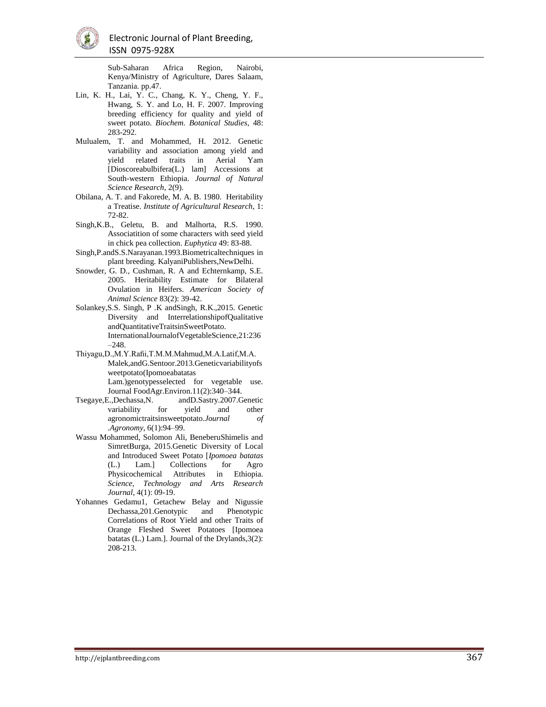

Sub-Saharan Africa Region, Nairobi, Kenya/Ministry of Agriculture, Dares Salaam, Tanzania. pp.47.

- Lin, K. H., Lai, Y. C., Chang, K. Y., Cheng, Y. F., Hwang, S. Y. and Lo, H. F. 2007. Improving breeding efficiency for quality and yield of sweet potato. *Biochem. Botanical Studies* , 48: 283 -292.
- Mulualem, T. and Mohammed, H. 2012. Genetic variability and association among yield and yield related traits in Aerial Yam [Dioscoreabulbifera(L.) lam] Accessions at South -western Ethiopia. *Journal of Natural Science Research*, 2(9).
- Obilana, A. T. and Fakorede, M. A. B. 1980. Heritability a Treatise. *Institute of Agricultural Research*, 1: 72 -82.
- Singh,K.B., Geletu, B. and Malhorta, R.S. 1990. Associatition of some characters with seed yield in chick pea collection. *Euphytica* 49: 83 -88.
- Singh,P.andS.S.Narayanan.1993.Biometricaltechniques in plant breeding. KalyaniPublishers,NewDelhi.
- Snowder, G. D., Cushman, R. A and Echternkamp, S.E. 2005. Heritability Estimate for Bilateral Ovulation in Heifers. *American Society of Animal Science* 83(2): 39 -42.
- Solankey,S.S. Singh, P .K andSingh, R.K.,2015. Genetic Diversity and InterrelationshipofQualitative andQuantitativeTraitsinSweetPotato. InternationalJournalofVegetableScience,21:236 –248.
- Thiyagu,D.,M.Y.Rafii,T.M.M.Mahmud,M.A.Latif,M.A. Malek,andG.Sentoor.2013.Geneticvariabilityofs weetpotato(Ipomoeabatatas Lam.)genotypesselected for vegetable use. Journal FoodAgr.Environ.11(2):340 –344.
- Tsegaye,E.,Dechassa,N. andD.Sastry.2007.Genetic variability for yield and other agronomictraitsinsweetpotato.*Journal of .Agronomy*, 6(1):94 –99.
- Wassu Mohammed, Solomon Ali, BeneberuShimelis and SimretBurga, 2015.Genetic Diversity of Local and Introduced Sweet Potato [*Ipomoea batatas* (L.) Lam.] Collections for Agro Physicochemical Attributes in Ethiopia. *Science, Technology and Arts Research*  Journal, 4(1): 09-19.
- Yohannes Gedamu1, Getachew Belay and Nigussie Dechassa,201.Genotypic and Phenotypic Correlations of Root Yield and other Traits of Orange Fleshed Sweet Potatoes [Ipomoea batatas (L.) Lam.]. Journal of the Drylands,3(2): 208 -213.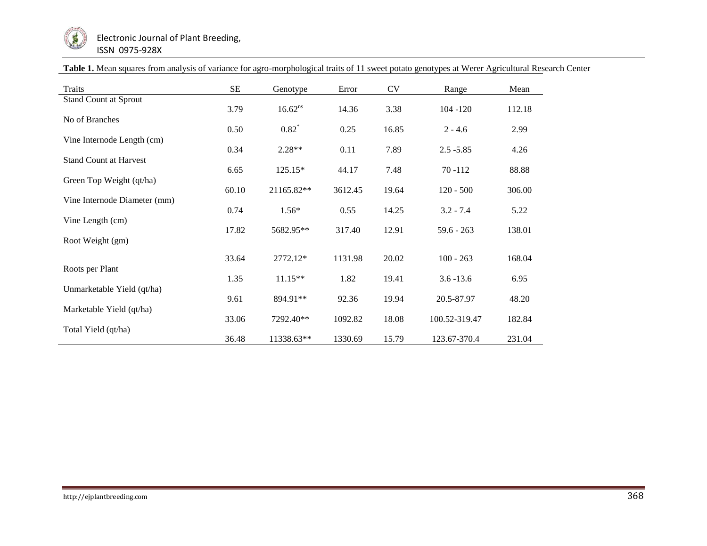

| Traits                        | <b>SE</b> | Genotype     | Error   | CV    | Range         | Mean   |
|-------------------------------|-----------|--------------|---------|-------|---------------|--------|
| <b>Stand Count at Sprout</b>  | 3.79      | $16.62^{ns}$ | 14.36   | 3.38  | $104 - 120$   | 112.18 |
| No of Branches                | 0.50      | $0.82^*$     | 0.25    | 16.85 | $2 - 4.6$     | 2.99   |
| Vine Internode Length (cm)    | 0.34      | $2.28**$     | 0.11    | 7.89  | $2.5 - 5.85$  | 4.26   |
| <b>Stand Count at Harvest</b> | 6.65      | 125.15*      | 44.17   | 7.48  | $70 - 112$    | 88.88  |
| Green Top Weight (qt/ha)      | 60.10     | 21165.82**   | 3612.45 | 19.64 | $120 - 500$   | 306.00 |
| Vine Internode Diameter (mm)  | 0.74      | $1.56*$      | 0.55    | 14.25 | $3.2 - 7.4$   | 5.22   |
| Vine Length (cm)              | 17.82     | 5682.95**    | 317.40  | 12.91 | $59.6 - 263$  | 138.01 |
| Root Weight (gm)              |           |              |         |       |               |        |
| Roots per Plant               | 33.64     | 2772.12*     | 1131.98 | 20.02 | $100 - 263$   | 168.04 |
| Unmarketable Yield (qt/ha)    | 1.35      | $11.15**$    | 1.82    | 19.41 | $3.6 - 13.6$  | 6.95   |
|                               | 9.61      | 894.91**     | 92.36   | 19.94 | 20.5-87.97    | 48.20  |
| Marketable Yield (qt/ha)      | 33.06     | 7292.40**    | 1092.82 | 18.08 | 100.52-319.47 | 182.84 |
| Total Yield (qt/ha)           | 36.48     | 11338.63**   | 1330.69 | 15.79 | 123.67-370.4  | 231.04 |

|  |  |  | Table 1. Mean squares from analysis of variance for agro-morphological traits of 11 sweet potato genotypes at Werer Agricultural Research Center |
|--|--|--|--------------------------------------------------------------------------------------------------------------------------------------------------|
|  |  |  |                                                                                                                                                  |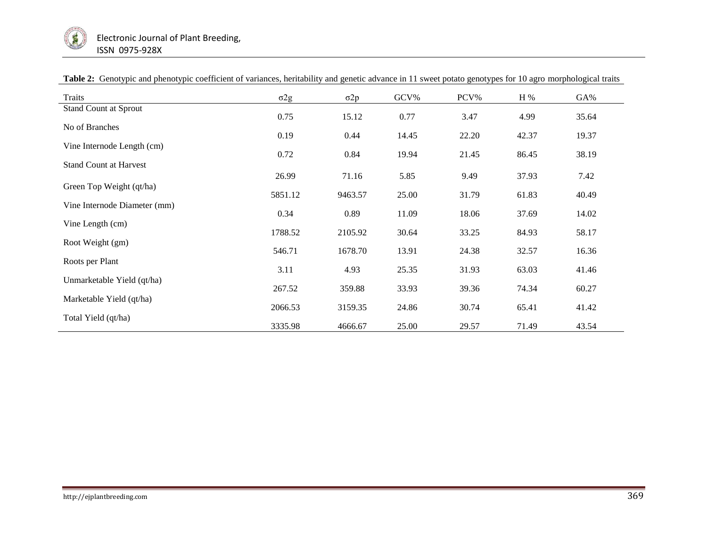

| <b>Traits</b>                 | $\sigma 2g$ | $\sigma 2p$ | GCV%  | PCV%  | H %   | GA%   |
|-------------------------------|-------------|-------------|-------|-------|-------|-------|
| Stand Count at Sprout         | 0.75        | 15.12       | 0.77  | 3.47  | 4.99  | 35.64 |
| No of Branches                | 0.19        | 0.44        | 14.45 | 22.20 | 42.37 | 19.37 |
| Vine Internode Length (cm)    | 0.72        | 0.84        | 19.94 | 21.45 | 86.45 | 38.19 |
| <b>Stand Count at Harvest</b> |             |             |       |       |       |       |
| Green Top Weight (qt/ha)      | 26.99       | 71.16       | 5.85  | 9.49  | 37.93 | 7.42  |
|                               | 5851.12     | 9463.57     | 25.00 | 31.79 | 61.83 | 40.49 |
| Vine Internode Diameter (mm)  | 0.34        | 0.89        | 11.09 | 18.06 | 37.69 | 14.02 |
| Vine Length (cm)              | 1788.52     | 2105.92     | 30.64 | 33.25 | 84.93 | 58.17 |
| Root Weight (gm)              | 546.71      | 1678.70     | 13.91 | 24.38 | 32.57 | 16.36 |
| Roots per Plant               | 3.11        | 4.93        | 25.35 | 31.93 | 63.03 | 41.46 |
| Unmarketable Yield (qt/ha)    |             |             |       |       |       |       |
| Marketable Yield (qt/ha)      | 267.52      | 359.88      | 33.93 | 39.36 | 74.34 | 60.27 |
| Total Yield (qt/ha)           | 2066.53     | 3159.35     | 24.86 | 30.74 | 65.41 | 41.42 |
|                               | 3335.98     | 4666.67     | 25.00 | 29.57 | 71.49 | 43.54 |

## **Table 2:** Genotypic and phenotypic coefficient of variances, heritability and genetic advance in 11 sweet potato genotypes for 10 agro morphological traits